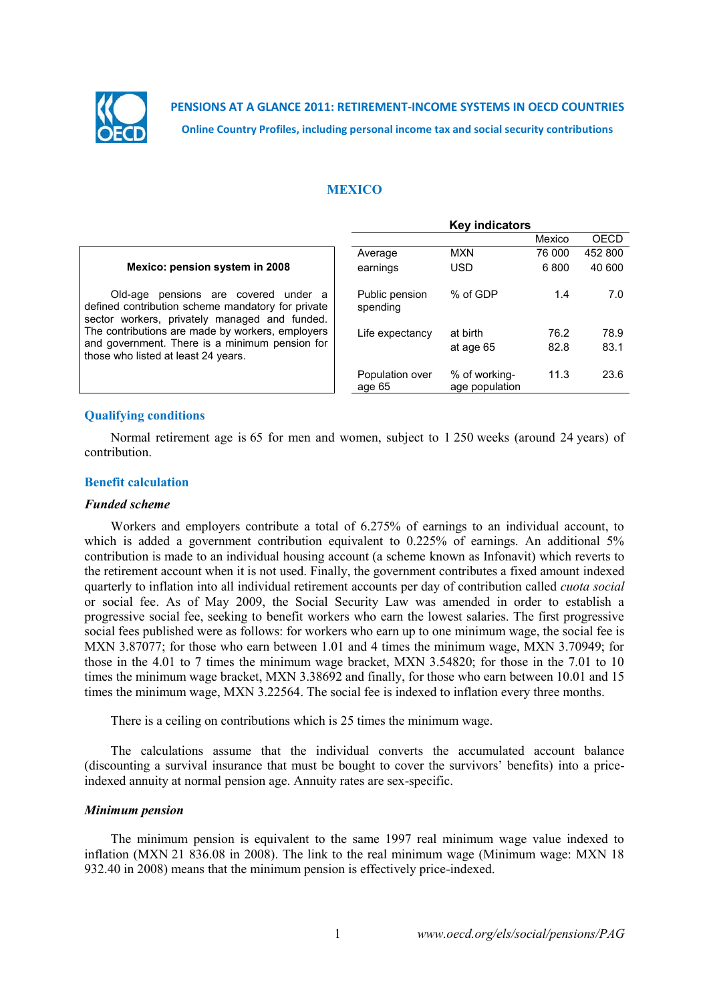

**PENSIONS AT A GLANCE 2011: RETIREMENT-INCOME SYSTEMS IN OECD COUNTRIES Online Country Profiles, including personal income tax and social security contributions**

## **MEXICO**

|                                                                                                                                                  | <b>Key indicators</b>      |                                 |        |         |  |
|--------------------------------------------------------------------------------------------------------------------------------------------------|----------------------------|---------------------------------|--------|---------|--|
|                                                                                                                                                  |                            |                                 | Mexico | OECD    |  |
|                                                                                                                                                  | Average                    | <b>MXN</b>                      | 76 000 | 452 800 |  |
| Mexico: pension system in 2008                                                                                                                   | earnings                   | <b>USD</b>                      | 6800   | 40 600  |  |
| pensions are covered<br>Old-age<br>under a<br>defined contribution scheme mandatory for private<br>sector workers, privately managed and funded. | Public pension<br>spending | % of GDP                        | 1.4    | 7.0     |  |
| The contributions are made by workers, employers                                                                                                 | Life expectancy            | at birth                        | 76.2   | 78.9    |  |
| and government. There is a minimum pension for<br>those who listed at least 24 years.                                                            |                            | at age 65                       | 82.8   | 83.1    |  |
|                                                                                                                                                  | Population over<br>age 65  | % of working-<br>age population | 11.3   | 23.6    |  |

# **Qualifying conditions**

Normal retirement age is 65 for men and women, subject to 1 250 weeks (around 24 years) of contribution.

### **Benefit calculation**

#### *Funded scheme*

Workers and employers contribute a total of 6.275% of earnings to an individual account, to which is added a government contribution equivalent to  $0.225\%$  of earnings. An additional 5% contribution is made to an individual housing account (a scheme known as Infonavit) which reverts to the retirement account when it is not used. Finally, the government contributes a fixed amount indexed quarterly to inflation into all individual retirement accounts per day of contribution called *cuota social* or social fee. As of May 2009, the Social Security Law was amended in order to establish a progressive social fee, seeking to benefit workers who earn the lowest salaries. The first progressive social fees published were as follows: for workers who earn up to one minimum wage, the social fee is MXN 3.87077; for those who earn between 1.01 and 4 times the minimum wage, MXN 3.70949; for those in the 4.01 to 7 times the minimum wage bracket, MXN 3.54820; for those in the 7.01 to 10 times the minimum wage bracket, MXN 3.38692 and finally, for those who earn between 10.01 and 15 times the minimum wage, MXN 3.22564. The social fee is indexed to inflation every three months.

There is a ceiling on contributions which is 25 times the minimum wage.

The calculations assume that the individual converts the accumulated account balance (discounting a survival insurance that must be bought to cover the survivors' benefits) into a priceindexed annuity at normal pension age. Annuity rates are sex-specific.

### *Minimum pension*

The minimum pension is equivalent to the same 1997 real minimum wage value indexed to inflation (MXN 21 836.08 in 2008). The link to the real minimum wage (Minimum wage: MXN 18 932.40 in 2008) means that the minimum pension is effectively price-indexed.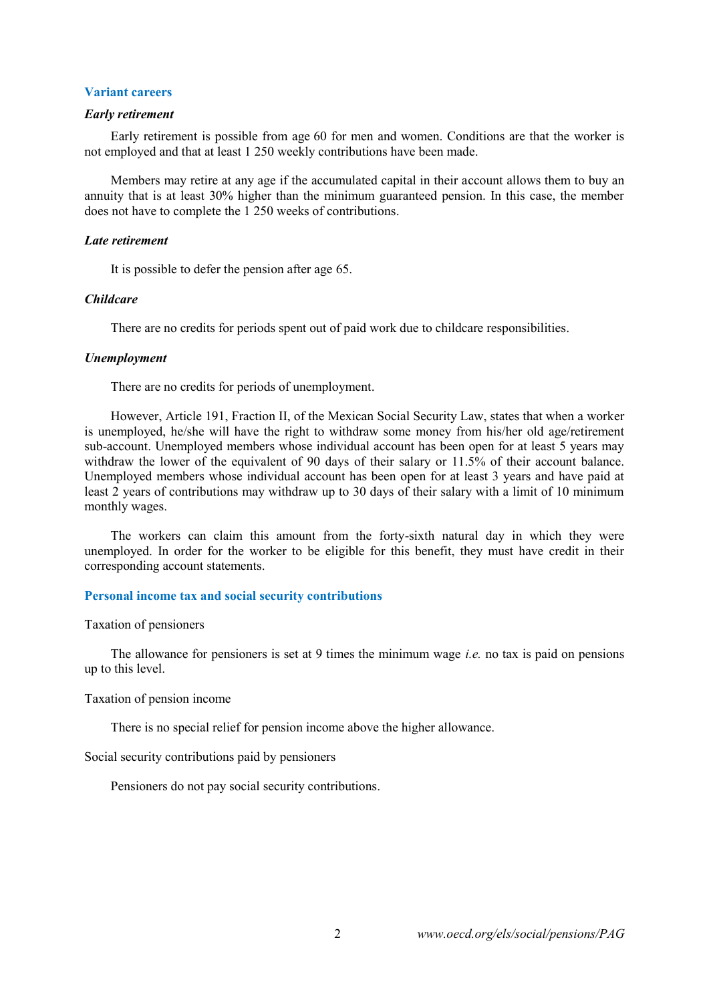# **Variant careers**

## *Early retirement*

Early retirement is possible from age 60 for men and women. Conditions are that the worker is not employed and that at least 1 250 weekly contributions have been made.

Members may retire at any age if the accumulated capital in their account allows them to buy an annuity that is at least 30% higher than the minimum guaranteed pension. In this case, the member does not have to complete the 1 250 weeks of contributions.

#### *Late retirement*

It is possible to defer the pension after age 65.

## *Childcare*

There are no credits for periods spent out of paid work due to childcare responsibilities.

## *Unemployment*

There are no credits for periods of unemployment.

However, Article 191, Fraction II, of the Mexican Social Security Law, states that when a worker is unemployed, he/she will have the right to withdraw some money from his/her old age/retirement sub-account. Unemployed members whose individual account has been open for at least 5 years may withdraw the lower of the equivalent of 90 days of their salary or 11.5% of their account balance. Unemployed members whose individual account has been open for at least 3 years and have paid at least 2 years of contributions may withdraw up to 30 days of their salary with a limit of 10 minimum monthly wages.

The workers can claim this amount from the forty-sixth natural day in which they were unemployed. In order for the worker to be eligible for this benefit, they must have credit in their corresponding account statements.

# **Personal income tax and social security contributions**

#### Taxation of pensioners

The allowance for pensioners is set at 9 times the minimum wage *i.e.* no tax is paid on pensions up to this level.

### Taxation of pension income

There is no special relief for pension income above the higher allowance.

Social security contributions paid by pensioners

Pensioners do not pay social security contributions.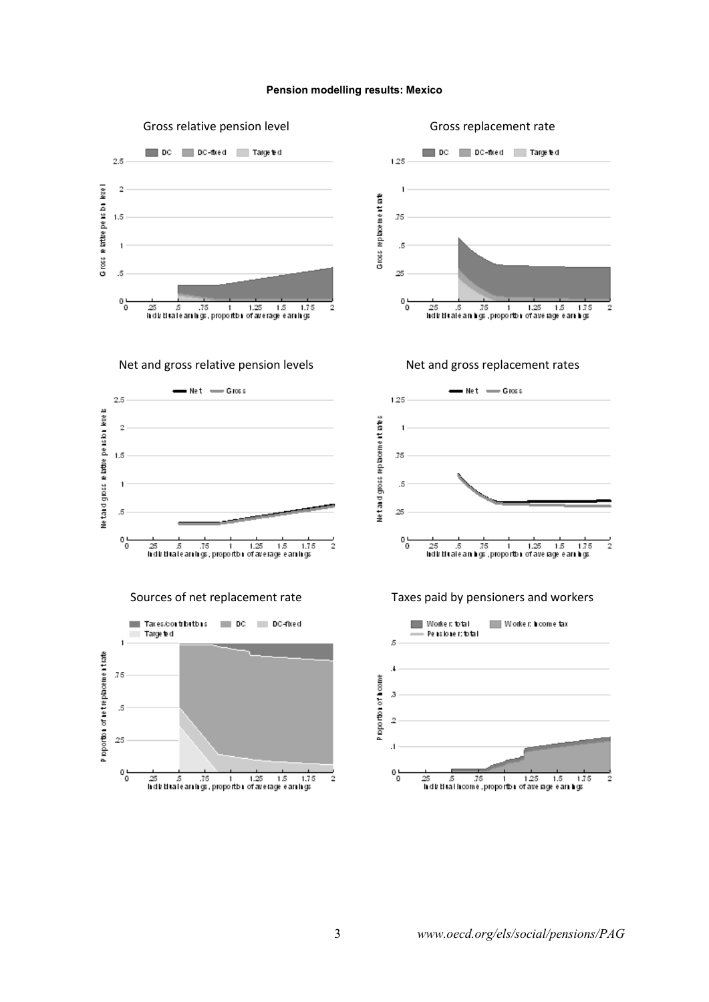#### **Pension modelling results: Mexico**



3 *www.oecd.org/els/social/pensions/PAG*